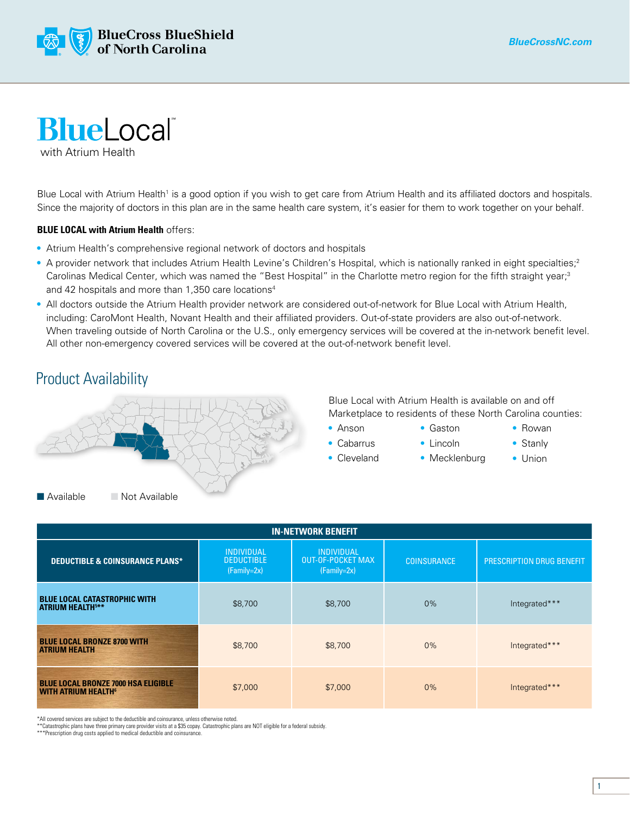



with Atrium Health

Blue Local with Atrium Health<sup>1</sup> is a good option if you wish to get care from Atrium Health and its affiliated doctors and hospitals. Since the majority of doctors in this plan are in the same health care system, it's easier for them to work together on your behalf.

## **BLUE LOCAL with Atrium Health** offers:

- Atrium Health's comprehensive regional network of doctors and hospitals
- A provider network that includes Atrium Health Levine's Children's Hospital, which is nationally ranked in eight specialties;<sup>2</sup> Carolinas Medical Center, which was named the "Best Hospital" in the Charlotte metro region for the fifth straight year;<sup>3</sup> and 42 hospitals and more than 1,350 care locations<sup>4</sup>
- All doctors outside the Atrium Health provider network are considered out-of-network for Blue Local with Atrium Health, including: CaroMont Health, Novant Health and their affiliated providers. Out-of-state providers are also out-of-network. When traveling outside of North Carolina or the U.S., only emergency services will be covered at the in-network benefit level. All other non-emergency covered services will be covered at the out-of-network benefit level.

## Product Availability



Blue Local with Atrium Health is available on and off Marketplace to residents of these North Carolina counties:

> • Gaston • Lincoln

- Anson
	-
- Cabarrus

• Rowan

- Cleveland
- Mecklenburg
- Stanly • Union

| <b>IN-NETWORK BENEFIT</b>                                                            |                                                         |                                                                |                    |                                  |  |  |  |  |  |  |
|--------------------------------------------------------------------------------------|---------------------------------------------------------|----------------------------------------------------------------|--------------------|----------------------------------|--|--|--|--|--|--|
| <b>DEDUCTIBLE &amp; COINSURANCE PLANS*</b>                                           | <b>INDIVIDUAL</b><br><b>DEDUCTIBLE</b><br>$(Family=2x)$ | <b>INDIVIDUAL</b><br><b>OUT-OF-POCKET MAX</b><br>$(Family=2x)$ | <b>COINSURANCE</b> | <b>PRESCRIPTION DRUG BENEFIT</b> |  |  |  |  |  |  |
| <b>BLUE LOCAL CATASTROPHIC WITH</b><br><b>ATRIUM HEALTH5**</b>                       | \$8,700                                                 | \$8,700                                                        | 0%                 | Integrated***                    |  |  |  |  |  |  |
| <b>BLUE LOCAL BRONZE 8700 WITH</b><br><b>ATRIUM HEALTH</b>                           | \$8,700                                                 | \$8,700                                                        | $0\%$              | Integrated***                    |  |  |  |  |  |  |
| <b>BLUE LOCAL BRONZE 7000 HSA ELIGIBLE</b><br><b>WITH ATRIUM HEALTH</b> <sup>6</sup> | \$7,000                                                 | \$7,000                                                        | 0%                 | Integrated***                    |  |  |  |  |  |  |

\*All covered services are subject to the deductible and coinsurance, unless otherwise noted.

\*\*Catastrophic plans have three primary care provider visits at a \$35 copay. Catastrophic plans are NOT eligible for a federal subsidy.

\*\*\*Prescription drug costs applied to medical deductible and coinsurance.